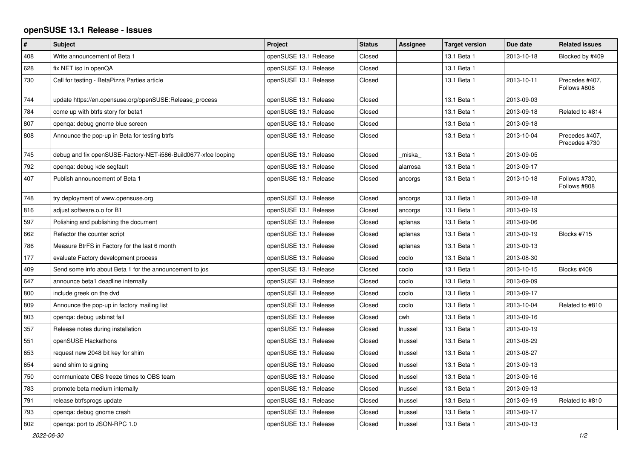## **openSUSE 13.1 Release - Issues**

| $\pmb{\#}$ | <b>Subject</b>                                                 | Project               | <b>Status</b> | <b>Assignee</b> | <b>Target version</b> | Due date   | <b>Related issues</b>           |
|------------|----------------------------------------------------------------|-----------------------|---------------|-----------------|-----------------------|------------|---------------------------------|
| 408        | Write announcement of Beta 1                                   | openSUSE 13.1 Release | Closed        |                 | 13.1 Beta 1           | 2013-10-18 | Blocked by #409                 |
| 628        | fix NET iso in openQA                                          | openSUSE 13.1 Release | Closed        |                 | 13.1 Beta 1           |            |                                 |
| 730        | Call for testing - BetaPizza Parties article                   | openSUSE 13.1 Release | Closed        |                 | 13.1 Beta 1           | 2013-10-11 | Precedes #407,<br>Follows #808  |
| 744        | update https://en.opensuse.org/openSUSE:Release_process        | openSUSE 13.1 Release | Closed        |                 | 13.1 Beta 1           | 2013-09-03 |                                 |
| 784        | come up with btrfs story for beta1                             | openSUSE 13.1 Release | Closed        |                 | 13.1 Beta 1           | 2013-09-18 | Related to #814                 |
| 807        | openga: debug gnome blue screen                                | openSUSE 13.1 Release | Closed        |                 | 13.1 Beta 1           | 2013-09-18 |                                 |
| 808        | Announce the pop-up in Beta for testing btrfs                  | openSUSE 13.1 Release | Closed        |                 | 13.1 Beta 1           | 2013-10-04 | Precedes #407,<br>Precedes #730 |
| 745        | debug and fix openSUSE-Factory-NET-i586-Build0677-xfce looping | openSUSE 13.1 Release | Closed        | miska           | 13.1 Beta 1           | 2013-09-05 |                                 |
| 792        | openga: debug kde segfault                                     | openSUSE 13.1 Release | Closed        | alarrosa        | 13.1 Beta 1           | 2013-09-17 |                                 |
| 407        | Publish announcement of Beta 1                                 | openSUSE 13.1 Release | Closed        | ancorgs         | 13.1 Beta 1           | 2013-10-18 | Follows #730,<br>Follows #808   |
| 748        | try deployment of www.opensuse.org                             | openSUSE 13.1 Release | Closed        | ancorgs         | 13.1 Beta 1           | 2013-09-18 |                                 |
| 816        | adjust software.o.o for B1                                     | openSUSE 13.1 Release | Closed        | ancorgs         | 13.1 Beta 1           | 2013-09-19 |                                 |
| 597        | Polishing and publishing the document                          | openSUSE 13.1 Release | Closed        | aplanas         | 13.1 Beta 1           | 2013-09-06 |                                 |
| 662        | Refactor the counter script                                    | openSUSE 13.1 Release | Closed        | aplanas         | 13.1 Beta 1           | 2013-09-19 | Blocks #715                     |
| 786        | Measure BtrFS in Factory for the last 6 month                  | openSUSE 13.1 Release | Closed        | aplanas         | 13.1 Beta 1           | 2013-09-13 |                                 |
| 177        | evaluate Factory development process                           | openSUSE 13.1 Release | Closed        | coolo           | 13.1 Beta 1           | 2013-08-30 |                                 |
| 409        | Send some info about Beta 1 for the announcement to jos        | openSUSE 13.1 Release | Closed        | coolo           | 13.1 Beta 1           | 2013-10-15 | Blocks #408                     |
| 647        | announce beta1 deadline internally                             | openSUSE 13.1 Release | Closed        | coolo           | 13.1 Beta 1           | 2013-09-09 |                                 |
| 800        | include greek on the dvd                                       | openSUSE 13.1 Release | Closed        | coolo           | 13.1 Beta 1           | 2013-09-17 |                                 |
| 809        | Announce the pop-up in factory mailing list                    | openSUSE 13.1 Release | Closed        | coolo           | 13.1 Beta 1           | 2013-10-04 | Related to #810                 |
| 803        | openga: debug usbinst fail                                     | openSUSE 13.1 Release | Closed        | cwh             | 13.1 Beta 1           | 2013-09-16 |                                 |
| 357        | Release notes during installation                              | openSUSE 13.1 Release | Closed        | Inussel         | 13.1 Beta 1           | 2013-09-19 |                                 |
| 551        | openSUSE Hackathons                                            | openSUSE 13.1 Release | Closed        | Inussel         | 13.1 Beta 1           | 2013-08-29 |                                 |
| 653        | request new 2048 bit key for shim                              | openSUSE 13.1 Release | Closed        | Inussel         | 13.1 Beta 1           | 2013-08-27 |                                 |
| 654        | send shim to signing                                           | openSUSE 13.1 Release | Closed        | Inussel         | 13.1 Beta 1           | 2013-09-13 |                                 |
| 750        | communicate OBS freeze times to OBS team                       | openSUSE 13.1 Release | Closed        | Inussel         | 13.1 Beta 1           | 2013-09-16 |                                 |
| 783        | promote beta medium internally                                 | openSUSE 13.1 Release | Closed        | Inussel         | 13.1 Beta 1           | 2013-09-13 |                                 |
| 791        | release btrfsprogs update                                      | openSUSE 13.1 Release | Closed        | Inussel         | 13.1 Beta 1           | 2013-09-19 | Related to #810                 |
| 793        | openqa: debug gnome crash                                      | openSUSE 13.1 Release | Closed        | Inussel         | 13.1 Beta 1           | 2013-09-17 |                                 |
| 802        | openga: port to JSON-RPC 1.0                                   | openSUSE 13.1 Release | Closed        | Inussel         | 13.1 Beta 1           | 2013-09-13 |                                 |